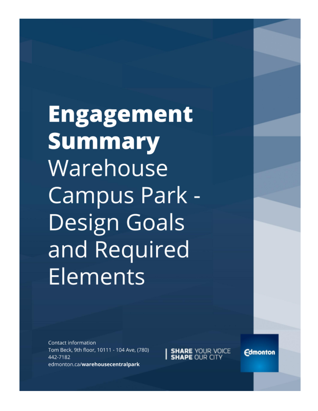**Engagement Summary** Warehouse Campus Park -**Design Goals** and Required Elements

Contact information Tom Beck, 9th floor, 10111 - 104 Ave, (780) 442-7182 edmonton.ca/warehousecentralpark

**Edmonton** 

**SHARE YOUR VOICE**<br>**SHAPE OUR CITY**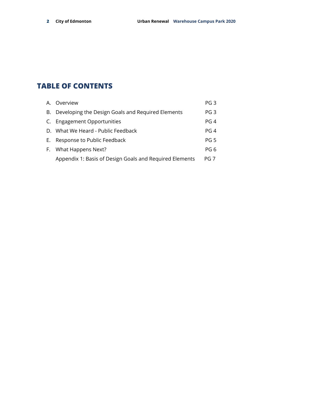## **TABLE OF CONTENTS**

| A. | Overview                                                | PG <sub>3</sub> |
|----|---------------------------------------------------------|-----------------|
|    | B. Developing the Design Goals and Required Elements    | PG 3            |
|    | C. Engagement Opportunities                             | PG 4            |
|    | D. What We Heard - Public Feedback                      | PG 4            |
| Е. | Response to Public Feedback                             | <b>PG 5</b>     |
| F. | What Happens Next?                                      | PG 6            |
|    | Appendix 1: Basis of Design Goals and Required Elements | PG 7            |
|    |                                                         |                 |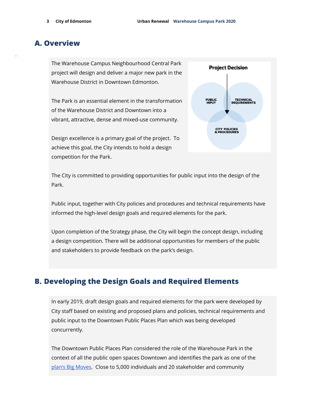## **A. Overview**

*.*

The Warehouse Campus Neighbourhood Central Park project will design and deliver a major new park in the Warehouse District in Downtown Edmonton.

The Park is an essential element in the transformation of the Warehouse District and Downtown into a vibrant, attractive, dense and mixed-use community.

Design excellence is a primary goal of the project. To achieve this goal, the City intends to hold a design competition for the Park.



The City is committed to providing opportunities for public input into the design of the Park.

Public input, together with City policies and procedures and technical requirements have informed the high-level design goals and required elements for the park.

Upon completion of the Strategy phase, the City will begin the concept design, including a design competition. There will be additional opportunities for members of the public and stakeholders to provide feedback on the park's design.

## **B. Developing the Design Goals and Required Elements**

In early 2019, draft design goals and required elements for the park were developed by City staff based on existing and proposed plans and policies, technical requirements and public input to the Downtown Public Places Plan which was being developed concurrently.

The Downtown Public Places Plan considered the role of the Warehouse Park in the context of all the public open spaces Downtown and identifies the park as one of the plan's Big [Moves.](https://www.edmonton.ca/documents/PDF/Downtown_Public_Places_Plan.pdf) Close to 5,000 individuals and 20 stakeholder and community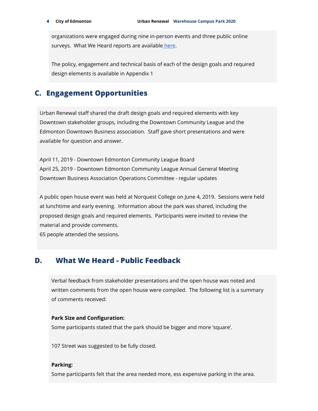organizations were engaged during nine in-person events and three public online surveys. What We Heard reports are available [here.](https://www.edmonton.ca/projects_plans/downtown/downtown-public-places-plan.aspx)

The policy, engagement and technical basis of each of the design goals and required design elements is available in Appendix 1

## **C. Engagement Opportunities**

Urban Renewal staff shared the draft design goals and required elements with key Downtown stakeholder groups, including the Downtown Community League and the Edmonton Downtown Business association. Staff gave short presentations and were available for question and answer.

April 11, 2019 - Downtown Edmonton Community League Board April 25, 2019 - Downtown Edmonton Community League Annual General Meeting Downtown Business Association Operations Committee - regular updates

A public open house event was held at Norquest College on June 4, 2019. Sessions were held at lunchtime and early evening. Information about the park was shared, including the proposed design goals and required elements. Participants were invited to review the material and provide comments.

65 people attended the sessions.

## **D. What We Heard - Public Feedback**

Verbal feedback from stakeholder presentations and the open house was noted and written comments from the open house were compiled. The following list is a summary of comments received:

### **Park Size and Configuration:**

Some participants stated that the park should be bigger and more 'square'.

107 Street was suggested to be fully closed.

### **Parking:**

Some participants felt that the area needed more, ess expensive parking in the area.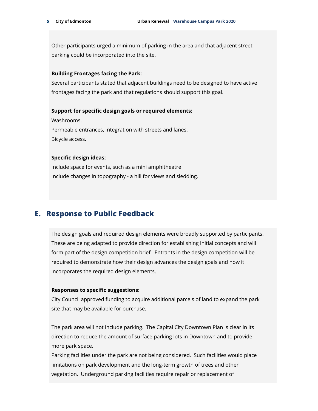Other participants urged a minimum of parking in the area and that adjacent street parking could be incorporated into the site.

### **Building Frontages facing the Park:**

Several participants stated that adjacent buildings need to be designed to have active frontages facing the park and that regulations should support this goal.

### **Support for specific design goals or required elements:**

Washrooms. Permeable entrances, integration with streets and lanes. Bicycle access.

#### **Specific design ideas:**

Include space for events, such as a mini amphitheatre Include changes in topography - a hill for views and sledding.

## **E. Response to Public Feedback**

The design goals and required design elements were broadly supported by participants. These are being adapted to provide direction for establishing initial concepts and will form part of the design competition brief. Entrants in the design competition will be required to demonstrate how their design advances the design goals and how it incorporates the required design elements.

### **Responses to specific suggestions:**

City Council approved funding to acquire additional parcels of land to expand the park site that may be available for purchase.

The park area will not include parking. The Capital City Downtown Plan is clear in its direction to reduce the amount of surface parking lots in Downtown and to provide more park space.

Parking facilities under the park are not being considered. Such facilities would place limitations on park development and the long-term growth of trees and other vegetation. Underground parking facilities require repair or replacement of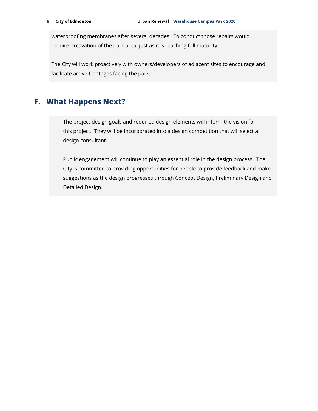waterproofing membranes after several decades. To conduct those repairs would require excavation of the park area, just as it is reaching full maturity.

The City will work proactively with owners/developers of adjacent sites to encourage and facilitate active frontages facing the park.

## **F. What Happens Next?**

The project design goals and required design elements will inform the vision for this project. They will be incorporated into a design competition that will select a design consultant.

Public engagement will continue to play an essential role in the design process. The City is committed to providing opportunities for people to provide feedback and make suggestions as the design progresses through Concept Design, Preliminary Design and Detailed Design.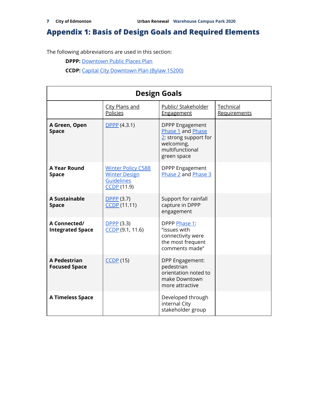# **Appendix 1: Basis of Design Goals and Required Elements**

The following abbreviations are used in this section:

**DPPP:** [Downtown](https://www.edmonton.ca/documents/PDF/Downtown_Public_Places_Plan.pdf) Public Places Plan

**CCDP:** Capital City [Downtown](https://www.edmonton.ca/documents/PDF/Capital_City_Downtown_Plan_May_27_2010.pdf) Plan (Bylaw 15200)

| <b>Design Goals</b>                         |                                                                                       |                                                                                                                         |                           |  |  |  |
|---------------------------------------------|---------------------------------------------------------------------------------------|-------------------------------------------------------------------------------------------------------------------------|---------------------------|--|--|--|
|                                             | <b>City Plans and</b><br>Policies                                                     | Public/ Stakeholder<br><b>Engagement</b>                                                                                | Technical<br>Requirements |  |  |  |
| A Green, Open<br><b>Space</b>               | <b>DPPP</b> (4.3.1)                                                                   | <b>DPPP Engagement</b><br>Phase 1 and Phase<br>$2$ : strong support for<br>welcoming,<br>multifunctional<br>green space |                           |  |  |  |
| <b>A Year Round</b><br><b>Space</b>         | <b>Winter Policy C588</b><br><b>Winter Design</b><br><b>Guidelines</b><br>CCDP (11.9) | <b>DPPP Engagement</b><br>Phase 2 and Phase 3                                                                           |                           |  |  |  |
| <b>A Sustainable</b><br><b>Space</b>        | <b>DPPP</b> (3.7)<br>CCDP (11.11)                                                     | Support for rainfall<br>capture in DPPP<br>engagement                                                                   |                           |  |  |  |
| A Connected/<br><b>Integrated Space</b>     | <b>DPPP</b> (3.3)<br>CCDP (9.1, 11.6)                                                 | DPPP Phase 1:<br>"issues with<br>connectivity were<br>the most frequent<br>comments made"                               |                           |  |  |  |
| <b>A Pedestrian</b><br><b>Focused Space</b> | <b>CCDP</b> (15)                                                                      | DPP Engagement:<br>pedestrian<br>orientation noted to<br>make Downtown<br>more attractive                               |                           |  |  |  |
| <b>A Timeless Space</b>                     |                                                                                       | Developed through<br>internal City<br>stakeholder group                                                                 |                           |  |  |  |